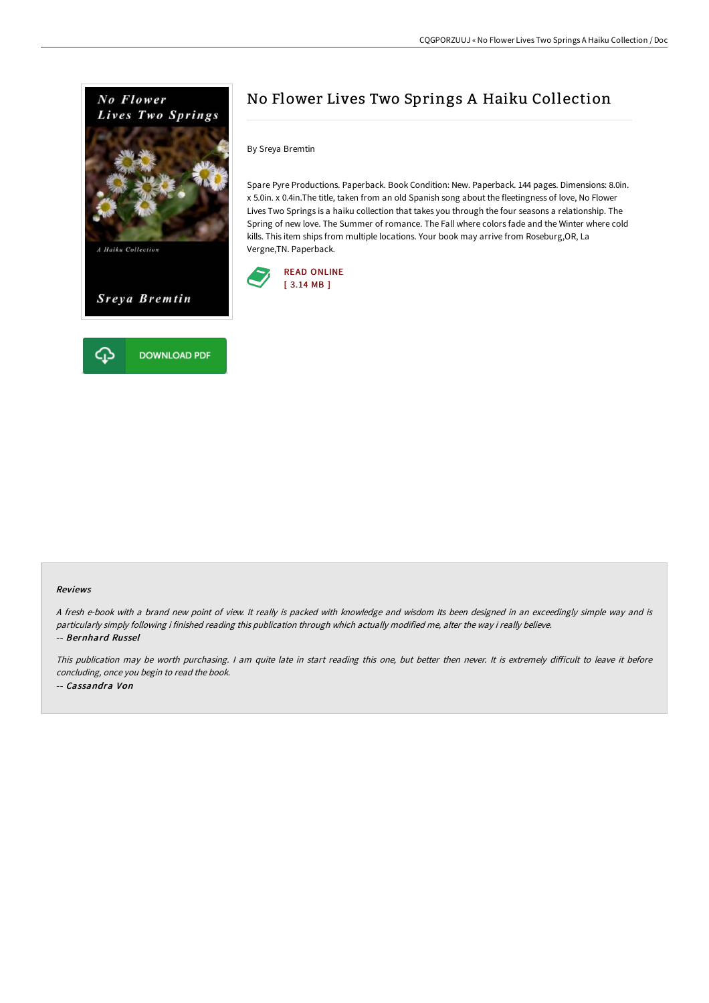

# No Flower Lives Two Springs A Haiku Collection

By Sreya Bremtin

Spare Pyre Productions. Paperback. Book Condition: New. Paperback. 144 pages. Dimensions: 8.0in. x 5.0in. x 0.4in.The title, taken from an old Spanish song about the fleetingness of love, No Flower Lives Two Springs is a haiku collection that takes you through the four seasons a relationship. The Spring of new love. The Summer of romance. The Fall where colors fade and the Winter where cold kills. This item ships from multiple locations. Your book may arrive from Roseburg,OR, La Vergne,TN. Paperback.



#### Reviews

<sup>A</sup> fresh e-book with <sup>a</sup> brand new point of view. It really is packed with knowledge and wisdom Its been designed in an exceedingly simple way and is particularly simply following i finished reading this publication through which actually modified me, alter the way i really believe. -- Bernhard Russel

This publication may be worth purchasing. I am quite late in start reading this one, but better then never. It is extremely difficult to leave it before concluding, once you begin to read the book. -- Cassandra Von